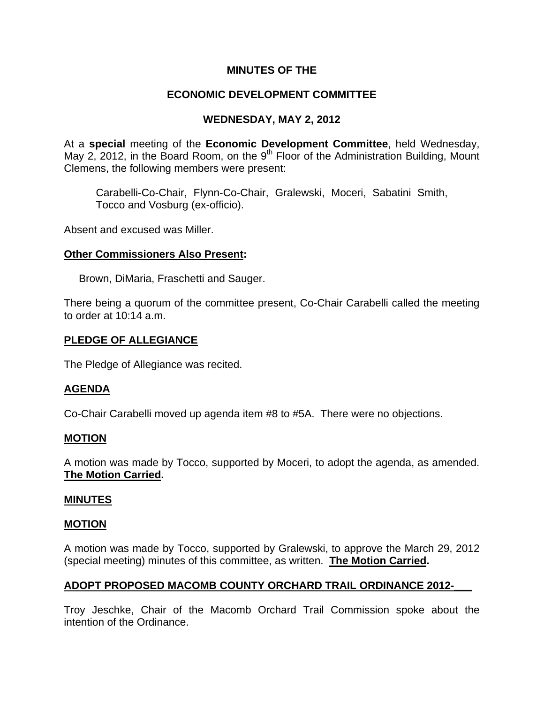## **MINUTES OF THE**

# **ECONOMIC DEVELOPMENT COMMITTEE**

## **WEDNESDAY, MAY 2, 2012**

At a **special** meeting of the **Economic Development Committee**, held Wednesday, May 2, 2012, in the Board Room, on the  $9<sup>th</sup>$  Floor of the Administration Building, Mount Clemens, the following members were present:

Carabelli-Co-Chair, Flynn-Co-Chair, Gralewski, Moceri, Sabatini Smith, Tocco and Vosburg (ex-officio).

Absent and excused was Miller.

### **Other Commissioners Also Present:**

Brown, DiMaria, Fraschetti and Sauger.

There being a quorum of the committee present, Co-Chair Carabelli called the meeting to order at 10:14 a.m.

### **PLEDGE OF ALLEGIANCE**

The Pledge of Allegiance was recited.

## **AGENDA**

Co-Chair Carabelli moved up agenda item #8 to #5A. There were no objections.

### **MOTION**

A motion was made by Tocco, supported by Moceri, to adopt the agenda, as amended. **The Motion Carried.**

### **MINUTES**

### **MOTION**

A motion was made by Tocco, supported by Gralewski, to approve the March 29, 2012 (special meeting) minutes of this committee, as written. **The Motion Carried.** 

## **ADOPT PROPOSED MACOMB COUNTY ORCHARD TRAIL ORDINANCE 2012-\_\_\_**

Troy Jeschke, Chair of the Macomb Orchard Trail Commission spoke about the intention of the Ordinance.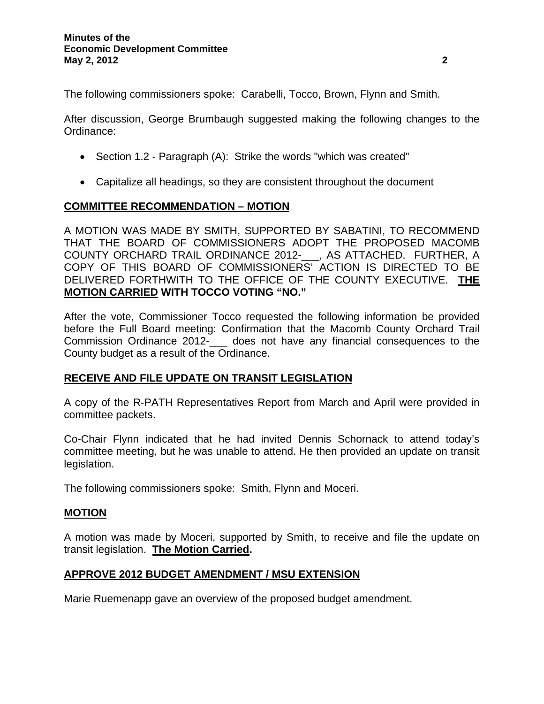The following commissioners spoke: Carabelli, Tocco, Brown, Flynn and Smith.

After discussion, George Brumbaugh suggested making the following changes to the Ordinance:

- Section 1.2 Paragraph (A): Strike the words "which was created"
- Capitalize all headings, so they are consistent throughout the document

### **COMMITTEE RECOMMENDATION – MOTION**

A MOTION WAS MADE BY SMITH, SUPPORTED BY SABATINI, TO RECOMMEND THAT THE BOARD OF COMMISSIONERS ADOPT THE PROPOSED MACOMB COUNTY ORCHARD TRAIL ORDINANCE 2012-\_\_\_, AS ATTACHED. FURTHER, A COPY OF THIS BOARD OF COMMISSIONERS' ACTION IS DIRECTED TO BE DELIVERED FORTHWITH TO THE OFFICE OF THE COUNTY EXECUTIVE. **THE MOTION CARRIED WITH TOCCO VOTING "NO."** 

After the vote, Commissioner Tocco requested the following information be provided before the Full Board meeting: Confirmation that the Macomb County Orchard Trail Commission Ordinance 2012-\_\_\_ does not have any financial consequences to the County budget as a result of the Ordinance.

## **RECEIVE AND FILE UPDATE ON TRANSIT LEGISLATION**

A copy of the R-PATH Representatives Report from March and April were provided in committee packets.

Co-Chair Flynn indicated that he had invited Dennis Schornack to attend today's committee meeting, but he was unable to attend. He then provided an update on transit legislation.

The following commissioners spoke: Smith, Flynn and Moceri.

### **MOTION**

A motion was made by Moceri, supported by Smith, to receive and file the update on transit legislation. **The Motion Carried.** 

### **APPROVE 2012 BUDGET AMENDMENT / MSU EXTENSION**

Marie Ruemenapp gave an overview of the proposed budget amendment.